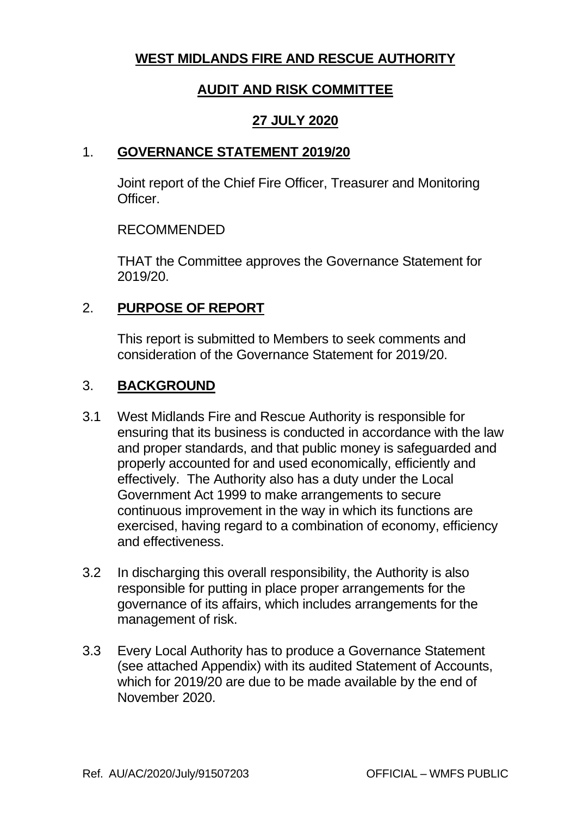# **WEST MIDLANDS FIRE AND RESCUE AUTHORITY**

# **AUDIT AND RISK COMMITTEE**

### **27 JULY 2020**

### 1. **GOVERNANCE STATEMENT 2019/20**

Joint report of the Chief Fire Officer, Treasurer and Monitoring **Officer** 

### RECOMMENDED

THAT the Committee approves the Governance Statement for 2019/20.

## 2. **PURPOSE OF REPORT**

This report is submitted to Members to seek comments and consideration of the Governance Statement for 2019/20.

## 3. **BACKGROUND**

- 3.1 West Midlands Fire and Rescue Authority is responsible for ensuring that its business is conducted in accordance with the law and proper standards, and that public money is safeguarded and properly accounted for and used economically, efficiently and effectively. The Authority also has a duty under the Local Government Act 1999 to make arrangements to secure continuous improvement in the way in which its functions are exercised, having regard to a combination of economy, efficiency and effectiveness.
- 3.2 In discharging this overall responsibility, the Authority is also responsible for putting in place proper arrangements for the governance of its affairs, which includes arrangements for the management of risk.
- 3.3 Every Local Authority has to produce a Governance Statement (see attached Appendix) with its audited Statement of Accounts, which for 2019/20 are due to be made available by the end of November 2020.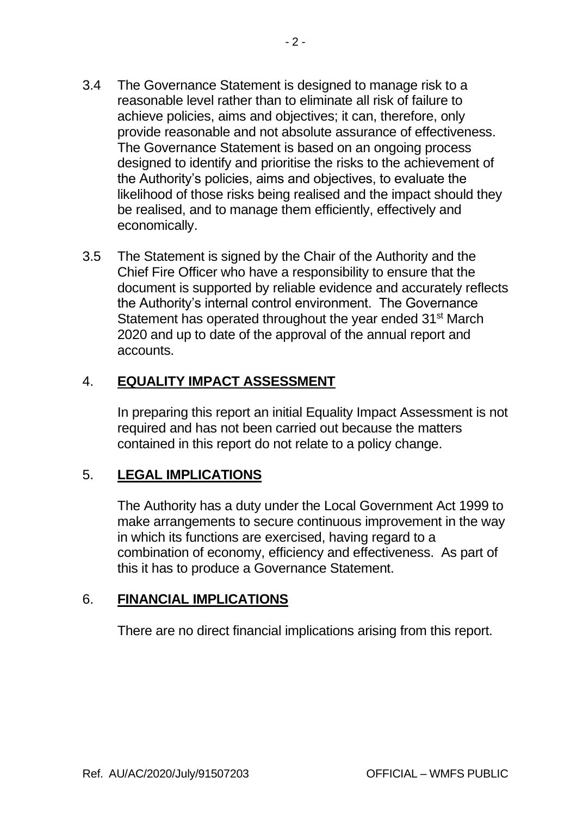- 3.4 The Governance Statement is designed to manage risk to a reasonable level rather than to eliminate all risk of failure to achieve policies, aims and objectives; it can, therefore, only provide reasonable and not absolute assurance of effectiveness. The Governance Statement is based on an ongoing process designed to identify and prioritise the risks to the achievement of the Authority's policies, aims and objectives, to evaluate the likelihood of those risks being realised and the impact should they be realised, and to manage them efficiently, effectively and economically.
- 3.5 The Statement is signed by the Chair of the Authority and the Chief Fire Officer who have a responsibility to ensure that the document is supported by reliable evidence and accurately reflects the Authority's internal control environment. The Governance Statement has operated throughout the year ended 31<sup>st</sup> March 2020 and up to date of the approval of the annual report and accounts.

# 4. **EQUALITY IMPACT ASSESSMENT**

In preparing this report an initial Equality Impact Assessment is not required and has not been carried out because the matters contained in this report do not relate to a policy change.

### 5. **LEGAL IMPLICATIONS**

The Authority has a duty under the Local Government Act 1999 to make arrangements to secure continuous improvement in the way in which its functions are exercised, having regard to a combination of economy, efficiency and effectiveness. As part of this it has to produce a Governance Statement.

### 6. **FINANCIAL IMPLICATIONS**

There are no direct financial implications arising from this report.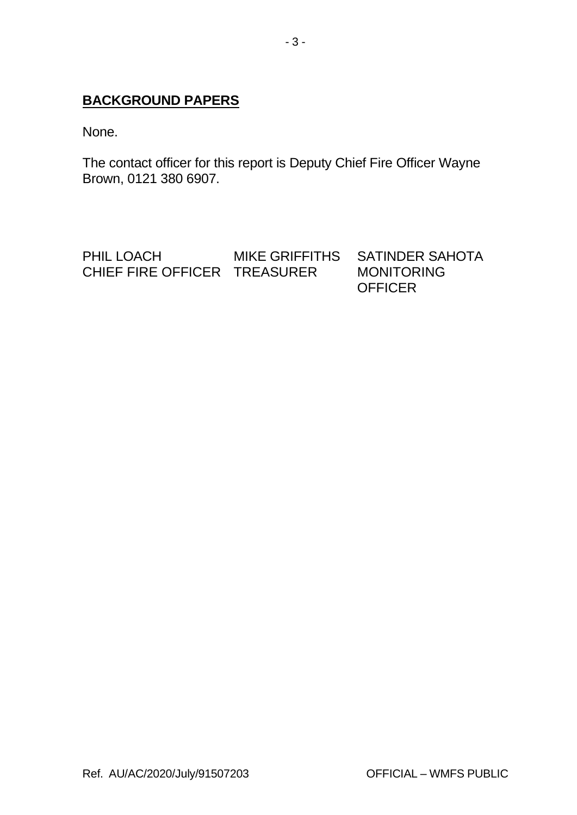## **BACKGROUND PAPERS**

None.

The contact officer for this report is Deputy Chief Fire Officer Wayne Brown, 0121 380 6907.

PHIL LOACH MIKE GRIFFITHS SATINDER SAHOTA<br>CHIEF FIRE OFFICER TREASURER MONITORING CHIEF FIRE OFFICER TREASURER **OFFICER**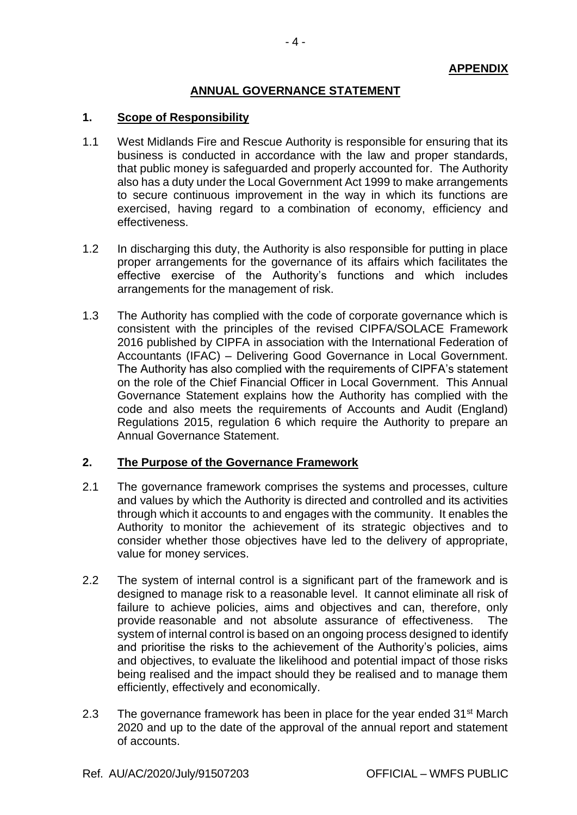### **ANNUAL GOVERNANCE STATEMENT**

#### **1. Scope of Responsibility**

- 1.1 West Midlands Fire and Rescue Authority is responsible for ensuring that its business is conducted in accordance with the law and proper standards, that public money is safeguarded and properly accounted for. The Authority also has a duty under the Local Government Act 1999 to make arrangements to secure continuous improvement in the way in which its functions are exercised, having regard to a combination of economy, efficiency and effectiveness.
- 1.2 In discharging this duty, the Authority is also responsible for putting in place proper arrangements for the governance of its affairs which facilitates the effective exercise of the Authority's functions and which includes arrangements for the management of risk.
- 1.3 The Authority has complied with the code of corporate governance which is consistent with the principles of the revised CIPFA/SOLACE Framework 2016 published by CIPFA in association with the International Federation of Accountants (IFAC) – Delivering Good Governance in Local Government. The Authority has also complied with the requirements of CIPFA's statement on the role of the Chief Financial Officer in Local Government. This Annual Governance Statement explains how the Authority has complied with the code and also meets the requirements of Accounts and Audit (England) Regulations 2015, regulation 6 which require the Authority to prepare an Annual Governance Statement.

### **2. The Purpose of the Governance Framework**

- 2.1 The governance framework comprises the systems and processes, culture and values by which the Authority is directed and controlled and its activities through which it accounts to and engages with the community. It enables the Authority to monitor the achievement of its strategic objectives and to consider whether those objectives have led to the delivery of appropriate, value for money services.
- 2.2 The system of internal control is a significant part of the framework and is designed to manage risk to a reasonable level. It cannot eliminate all risk of failure to achieve policies, aims and objectives and can, therefore, only provide reasonable and not absolute assurance of effectiveness. The system of internal control is based on an ongoing process designed to identify and prioritise the risks to the achievement of the Authority's policies, aims and objectives, to evaluate the likelihood and potential impact of those risks being realised and the impact should they be realised and to manage them efficiently, effectively and economically.
- 2.3 The governance framework has been in place for the year ended  $31<sup>st</sup>$  March 2020 and up to the date of the approval of the annual report and statement of accounts.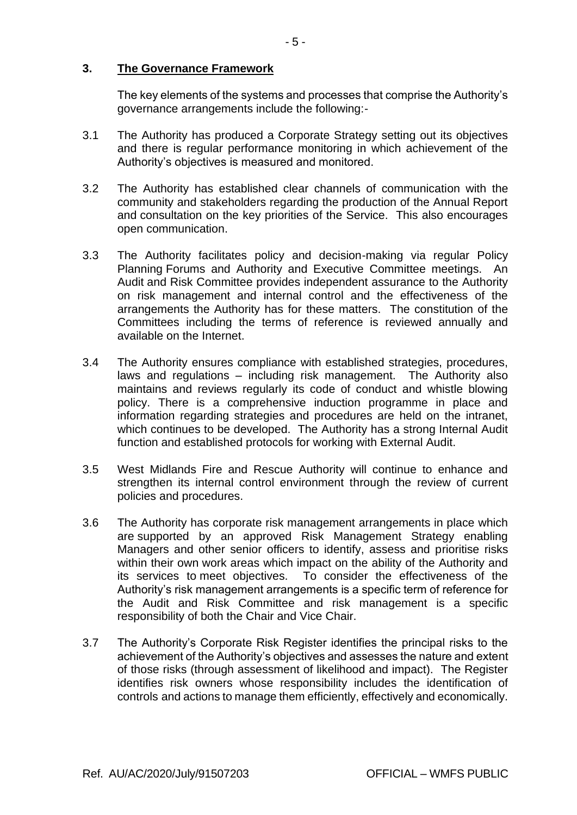#### **3. The Governance Framework**

The key elements of the systems and processes that comprise the Authority's governance arrangements include the following:-

- 3.1 The Authority has produced a Corporate Strategy setting out its objectives and there is regular performance monitoring in which achievement of the Authority's objectives is measured and monitored.
- 3.2 The Authority has established clear channels of communication with the community and stakeholders regarding the production of the Annual Report and consultation on the key priorities of the Service. This also encourages open communication.
- 3.3 The Authority facilitates policy and decision-making via regular Policy Planning Forums and Authority and Executive Committee meetings. An Audit and Risk Committee provides independent assurance to the Authority on risk management and internal control and the effectiveness of the arrangements the Authority has for these matters. The constitution of the Committees including the terms of reference is reviewed annually and available on the Internet.
- 3.4 The Authority ensures compliance with established strategies, procedures, laws and regulations – including risk management. The Authority also maintains and reviews regularly its code of conduct and whistle blowing policy. There is a comprehensive induction programme in place and information regarding strategies and procedures are held on the intranet, which continues to be developed. The Authority has a strong Internal Audit function and established protocols for working with External Audit.
- 3.5 West Midlands Fire and Rescue Authority will continue to enhance and strengthen its internal control environment through the review of current policies and procedures.
- 3.6 The Authority has corporate risk management arrangements in place which are supported by an approved Risk Management Strategy enabling Managers and other senior officers to identify, assess and prioritise risks within their own work areas which impact on the ability of the Authority and its services to meet objectives. To consider the effectiveness of the Authority's risk management arrangements is a specific term of reference for the Audit and Risk Committee and risk management is a specific responsibility of both the Chair and Vice Chair.
- 3.7 The Authority's Corporate Risk Register identifies the principal risks to the achievement of the Authority's objectives and assesses the nature and extent of those risks (through assessment of likelihood and impact). The Register identifies risk owners whose responsibility includes the identification of controls and actions to manage them efficiently, effectively and economically.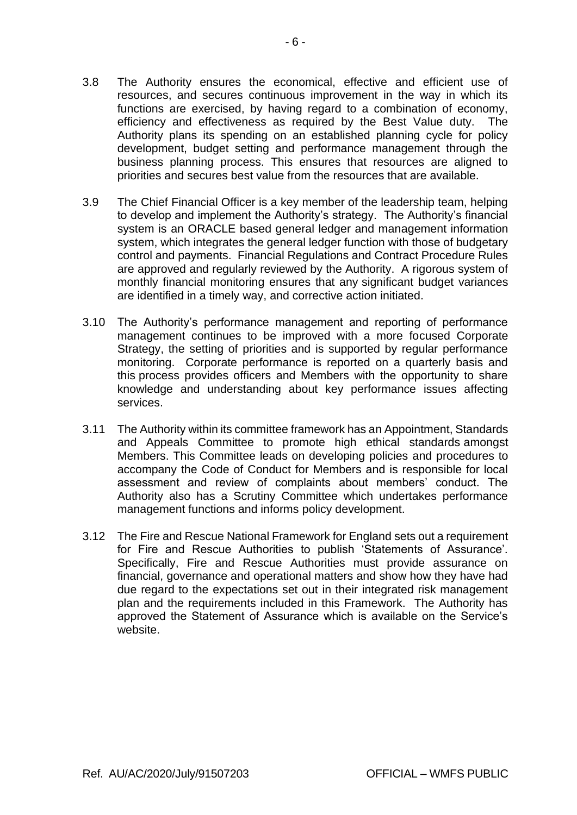- 3.8 The Authority ensures the economical, effective and efficient use of resources, and secures continuous improvement in the way in which its functions are exercised, by having regard to a combination of economy, efficiency and effectiveness as required by the Best Value duty. The Authority plans its spending on an established planning cycle for policy development, budget setting and performance management through the business planning process. This ensures that resources are aligned to priorities and secures best value from the resources that are available.
- 3.9 The Chief Financial Officer is a key member of the leadership team, helping to develop and implement the Authority's strategy. The Authority's financial system is an ORACLE based general ledger and management information system, which integrates the general ledger function with those of budgetary control and payments. Financial Regulations and Contract Procedure Rules are approved and regularly reviewed by the Authority. A rigorous system of monthly financial monitoring ensures that any significant budget variances are identified in a timely way, and corrective action initiated.
- 3.10 The Authority's performance management and reporting of performance management continues to be improved with a more focused Corporate Strategy, the setting of priorities and is supported by regular performance monitoring. Corporate performance is reported on a quarterly basis and this process provides officers and Members with the opportunity to share knowledge and understanding about key performance issues affecting services.
- 3.11 The Authority within its committee framework has an Appointment, Standards and Appeals Committee to promote high ethical standards amongst Members. This Committee leads on developing policies and procedures to accompany the Code of Conduct for Members and is responsible for local assessment and review of complaints about members' conduct. The Authority also has a Scrutiny Committee which undertakes performance management functions and informs policy development.
- 3.12 The Fire and Rescue National Framework for England sets out a requirement for Fire and Rescue Authorities to publish 'Statements of Assurance'. Specifically, Fire and Rescue Authorities must provide assurance on financial, governance and operational matters and show how they have had due regard to the expectations set out in their integrated risk management plan and the requirements included in this Framework. The Authority has approved the Statement of Assurance which is available on the Service's website.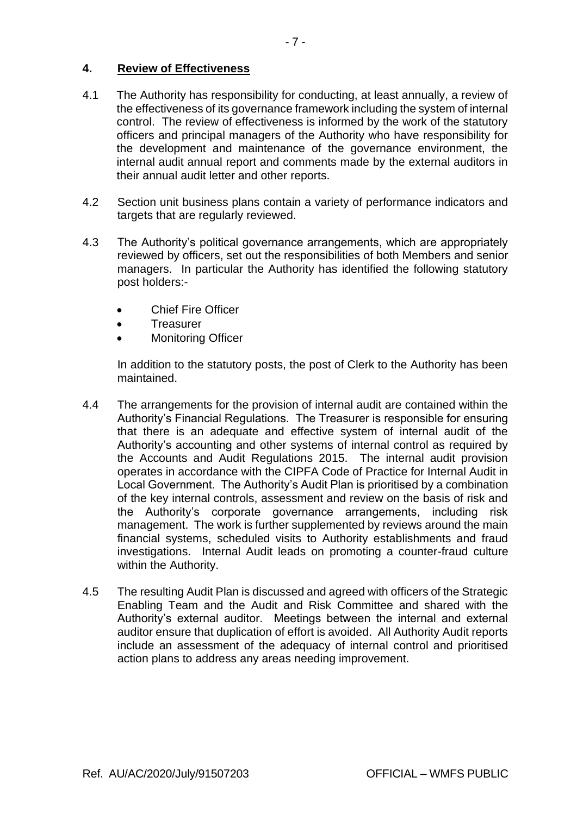### **4. Review of Effectiveness**

- 4.1 The Authority has responsibility for conducting, at least annually, a review of the effectiveness of its governance framework including the system of internal control. The review of effectiveness is informed by the work of the statutory officers and principal managers of the Authority who have responsibility for the development and maintenance of the governance environment, the internal audit annual report and comments made by the external auditors in their annual audit letter and other reports.
- 4.2 Section unit business plans contain a variety of performance indicators and targets that are regularly reviewed.
- 4.3 The Authority's political governance arrangements, which are appropriately reviewed by officers, set out the responsibilities of both Members and senior managers. In particular the Authority has identified the following statutory post holders:-
	- **Chief Fire Officer**
	- Treasurer
	- Monitoring Officer

In addition to the statutory posts, the post of Clerk to the Authority has been maintained.

- 4.4 The arrangements for the provision of internal audit are contained within the Authority's Financial Regulations. The Treasurer is responsible for ensuring that there is an adequate and effective system of internal audit of the Authority's accounting and other systems of internal control as required by the Accounts and Audit Regulations 2015. The internal audit provision operates in accordance with the CIPFA Code of Practice for Internal Audit in Local Government. The Authority's Audit Plan is prioritised by a combination of the key internal controls, assessment and review on the basis of risk and the Authority's corporate governance arrangements, including risk management. The work is further supplemented by reviews around the main financial systems, scheduled visits to Authority establishments and fraud investigations. Internal Audit leads on promoting a counter-fraud culture within the Authority.
- 4.5 The resulting Audit Plan is discussed and agreed with officers of the Strategic Enabling Team and the Audit and Risk Committee and shared with the Authority's external auditor. Meetings between the internal and external auditor ensure that duplication of effort is avoided. All Authority Audit reports include an assessment of the adequacy of internal control and prioritised action plans to address any areas needing improvement.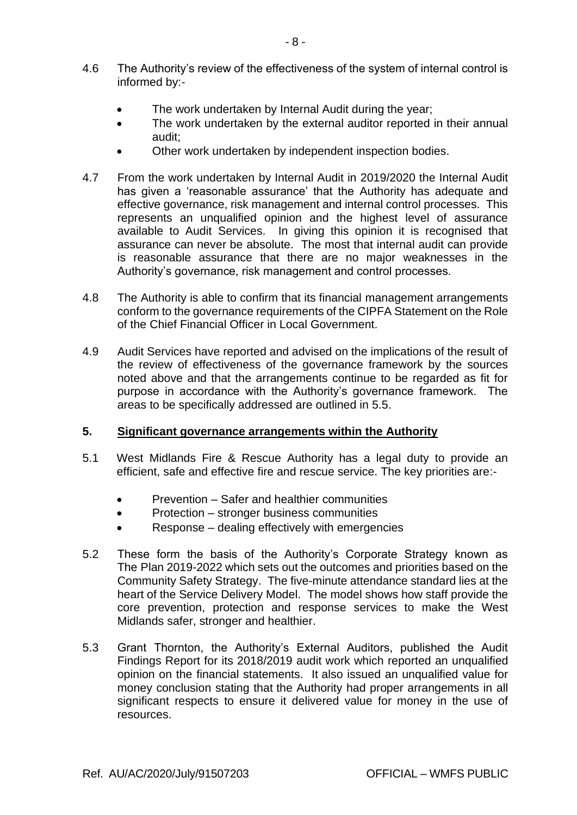- 4.6 The Authority's review of the effectiveness of the system of internal control is informed by:-
	- The work undertaken by Internal Audit during the year;
	- The work undertaken by the external auditor reported in their annual audit;
	- Other work undertaken by independent inspection bodies.
- 4.7 From the work undertaken by Internal Audit in 2019/2020 the Internal Audit has given a 'reasonable assurance' that the Authority has adequate and effective governance, risk management and internal control processes. This represents an unqualified opinion and the highest level of assurance available to Audit Services. In giving this opinion it is recognised that assurance can never be absolute. The most that internal audit can provide is reasonable assurance that there are no major weaknesses in the Authority's governance, risk management and control processes.
- 4.8 The Authority is able to confirm that its financial management arrangements conform to the governance requirements of the CIPFA Statement on the Role of the Chief Financial Officer in Local Government.
- 4.9 Audit Services have reported and advised on the implications of the result of the review of effectiveness of the governance framework by the sources noted above and that the arrangements continue to be regarded as fit for purpose in accordance with the Authority's governance framework. The areas to be specifically addressed are outlined in 5.5.

### **5. Significant governance arrangements within the Authority**

- 5.1 West Midlands Fire & Rescue Authority has a legal duty to provide an efficient, safe and effective fire and rescue service. The key priorities are:-
	- Prevention Safer and healthier communities
	- Protection stronger business communities
	- Response dealing effectively with emergencies
- 5.2 These form the basis of the Authority's Corporate Strategy known as The Plan 2019-2022 which sets out the outcomes and priorities based on the Community Safety Strategy. The five-minute attendance standard lies at the heart of the Service Delivery Model. The model shows how staff provide the core prevention, protection and response services to make the West Midlands safer, stronger and healthier.
- 5.3 Grant Thornton, the Authority's External Auditors, published the Audit Findings Report for its 2018/2019 audit work which reported an unqualified opinion on the financial statements. It also issued an unqualified value for money conclusion stating that the Authority had proper arrangements in all significant respects to ensure it delivered value for money in the use of resources.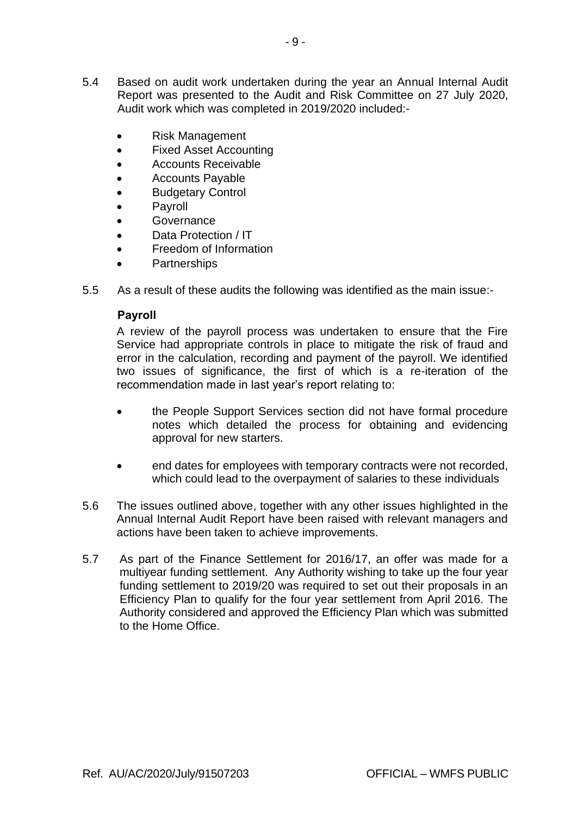- 5.4 Based on audit work undertaken during the year an Annual Internal Audit Report was presented to the Audit and Risk Committee on 27 July 2020, Audit work which was completed in 2019/2020 included:-
	- Risk Management
	- Fixed Asset Accounting
	- Accounts Receivable
	- Accounts Payable
	- Budgetary Control
	- **Payroll**
	- Governance
	- Data Protection / IT
	- Freedom of Information
	- Partnerships
- 5.5 As a result of these audits the following was identified as the main issue:-

### **Payroll**

A review of the payroll process was undertaken to ensure that the Fire Service had appropriate controls in place to mitigate the risk of fraud and error in the calculation, recording and payment of the payroll. We identified two issues of significance, the first of which is a re-iteration of the recommendation made in last year's report relating to:

- the People Support Services section did not have formal procedure notes which detailed the process for obtaining and evidencing approval for new starters.
- end dates for employees with temporary contracts were not recorded, which could lead to the overpayment of salaries to these individuals
- 5.6 The issues outlined above, together with any other issues highlighted in the Annual Internal Audit Report have been raised with relevant managers and actions have been taken to achieve improvements.
- 5.7 As part of the Finance Settlement for 2016/17, an offer was made for a multiyear funding settlement. Any Authority wishing to take up the four year funding settlement to 2019/20 was required to set out their proposals in an Efficiency Plan to qualify for the four year settlement from April 2016. The Authority considered and approved the Efficiency Plan which was submitted to the Home Office.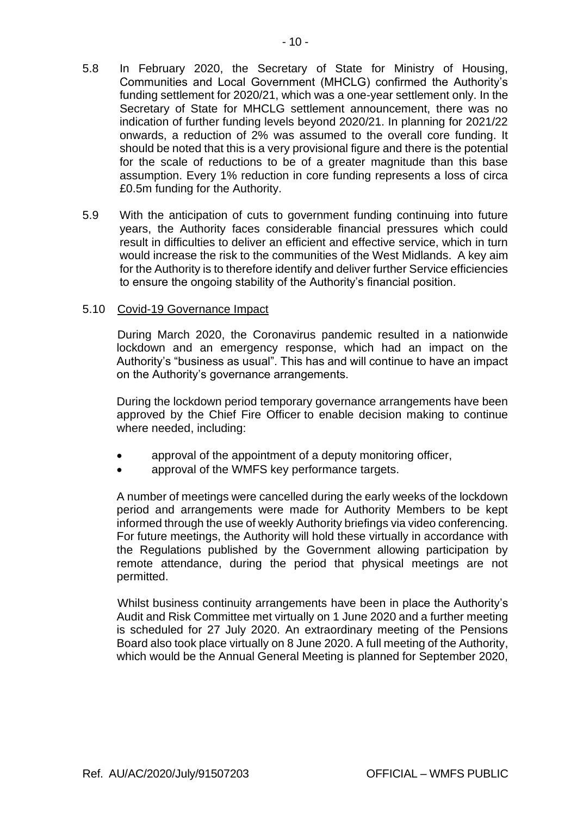- for the scale of reductions to be of a greater magnitude than this base assumption. Every 1% reduction in core funding represents a loss of circa £0.5m funding for the Authority.
- 5.9 With the anticipation of cuts to government funding continuing into future years, the Authority faces considerable financial pressures which could result in difficulties to deliver an efficient and effective service, which in turn would increase the risk to the communities of the West Midlands. A key aim for the Authority is to therefore identify and deliver further Service efficiencies to ensure the ongoing stability of the Authority's financial position.

### 5.10 Covid-19 Governance Impact

During March 2020, the Coronavirus pandemic resulted in a nationwide lockdown and an emergency response, which had an impact on the Authority's "business as usual". This has and will continue to have an impact on the Authority's governance arrangements.

During the lockdown period temporary governance arrangements have been approved by the Chief Fire Officer to enable decision making to continue where needed, including:

- approval of the appointment of a deputy monitoring officer.
- approval of the WMFS key performance targets.

A number of meetings were cancelled during the early weeks of the lockdown period and arrangements were made for Authority Members to be kept informed through the use of weekly Authority briefings via video conferencing. For future meetings, the Authority will hold these virtually in accordance with the Regulations published by the Government allowing participation by remote attendance, during the period that physical meetings are not permitted.

Whilst business continuity arrangements have been in place the Authority's Audit and Risk Committee met virtually on 1 June 2020 and a further meeting is scheduled for 27 July 2020. An extraordinary meeting of the Pensions Board also took place virtually on 8 June 2020. A full meeting of the Authority, which would be the Annual General Meeting is planned for September 2020,